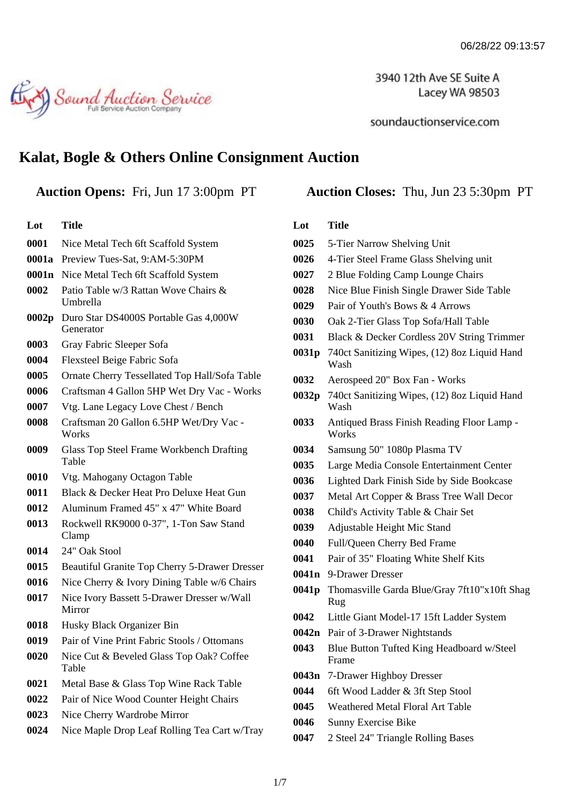3940 12th Ave SE Suite A Lacey WA 98503

soundauctionservice.com

# Sound Auction Service

## **Kalat, Bogle & Others Online Consignment Auction**

**Lot Title**

| 0001  | Nice Metal Tech 6ft Scaffold System                      |  |
|-------|----------------------------------------------------------|--|
| 0001a | Preview Tues-Sat, 9:AM-5:30PM                            |  |
| 0001n | Nice Metal Tech 6ft Scaffold System                      |  |
| 0002  | Patio Table w/3 Rattan Wove Chairs &<br>Umbrella         |  |
| 0002p | Duro Star DS4000S Portable Gas 4,000W<br>Generator       |  |
| 0003  | Gray Fabric Sleeper Sofa                                 |  |
| 0004  | Flexsteel Beige Fabric Sofa                              |  |
| 0005  | Ornate Cherry Tessellated Top Hall/Sofa Table            |  |
| 0006  | Craftsman 4 Gallon 5HP Wet Dry Vac - Works               |  |
| 0007  | Vtg. Lane Legacy Love Chest / Bench                      |  |
| 0008  | Craftsman 20 Gallon 6.5HP Wet/Dry Vac -<br>Works         |  |
| 0009  | <b>Glass Top Steel Frame Workbench Drafting</b><br>Table |  |
| 0010  | Vtg. Mahogany Octagon Table                              |  |
| 0011  | Black & Decker Heat Pro Deluxe Heat Gun                  |  |
| 0012  | Aluminum Framed 45" x 47" White Board                    |  |
| 0013  | Rockwell RK9000 0-37", 1-Ton Saw Stand<br>Clamp          |  |
| 0014  | 24" Oak Stool                                            |  |
| 0015  | Beautiful Granite Top Cherry 5-Drawer Dresser            |  |
| 0016  | Nice Cherry & Ivory Dining Table w/6 Chairs              |  |
| 0017  | Nice Ivory Bassett 5-Drawer Dresser w/Wall<br>Mirror     |  |
| 0018  | Husky Black Organizer Bin                                |  |
| 0019  | Pair of Vine Print Fabric Stools / Ottomans              |  |
| 0020  | Nice Cut & Beveled Glass Top Oak? Coffee<br>Table        |  |
| 0021  | Metal Base & Glass Top Wine Rack Table                   |  |
| 0022  | Pair of Nice Wood Counter Height Chairs                  |  |
| 0023  | Nice Cherry Wardrobe Mirror                              |  |
| 0024  | Nice Maple Drop Leaf Rolling Tea Cart w/Tray             |  |
|       |                                                          |  |

#### **Auction Opens:** Fri, Jun 17 3:00pm PT **Auction Closes:** Thu, Jun 23 5:30pm PT

#### **Lot Title**

| 0025              | 5-Tier Narrow Shelving Unit                          |
|-------------------|------------------------------------------------------|
| 0026              | 4-Tier Steel Frame Glass Shelving unit               |
| 0027              | 2 Blue Folding Camp Lounge Chairs                    |
| 0028              | Nice Blue Finish Single Drawer Side Table            |
| 0029              | Pair of Youth's Bows & 4 Arrows                      |
| 0030              | Oak 2-Tier Glass Top Sofa/Hall Table                 |
| 0031              | Black & Decker Cordless 20V String Trimmer           |
| 0031p             | 740ct Sanitizing Wipes, (12) 8oz Liquid Hand<br>Wash |
| 0032              | Aerospeed 20" Box Fan - Works                        |
| 0032 <sub>p</sub> | 740ct Sanitizing Wipes, (12) 8oz Liquid Hand<br>Wash |
| 0033              | Antiqued Brass Finish Reading Floor Lamp -<br>Works  |
| 0034              | Samsung 50" 1080p Plasma TV                          |
| 0035              | Large Media Console Entertainment Center             |
| 0036              | Lighted Dark Finish Side by Side Bookcase            |
| 0037              | Metal Art Copper & Brass Tree Wall Decor             |
| 0038              | Child's Activity Table & Chair Set                   |
| 0039              | Adjustable Height Mic Stand                          |
| 0040              | Full/Queen Cherry Bed Frame                          |
| 0041              | Pair of 35" Floating White Shelf Kits                |
| 0041n             | 9-Drawer Dresser                                     |
| 0041p             | Thomasville Garda Blue/Gray 7ft10"x10ft Shag<br>Rug  |
| 0042              | Little Giant Model-17 15ft Ladder System             |
| 0042n             | Pair of 3-Drawer Nightstands                         |
| 0043              | Blue Button Tufted King Headboard w/Steel<br>Frame   |
| 0043n             | 7-Drawer Highboy Dresser                             |
| 0044              | 6ft Wood Ladder & 3ft Step Stool                     |
| 0045              | <b>Weathered Metal Floral Art Table</b>              |
| 0046              | Sunny Exercise Bike                                  |
| 0047              | 2 Steel 24" Triangle Rolling Bases                   |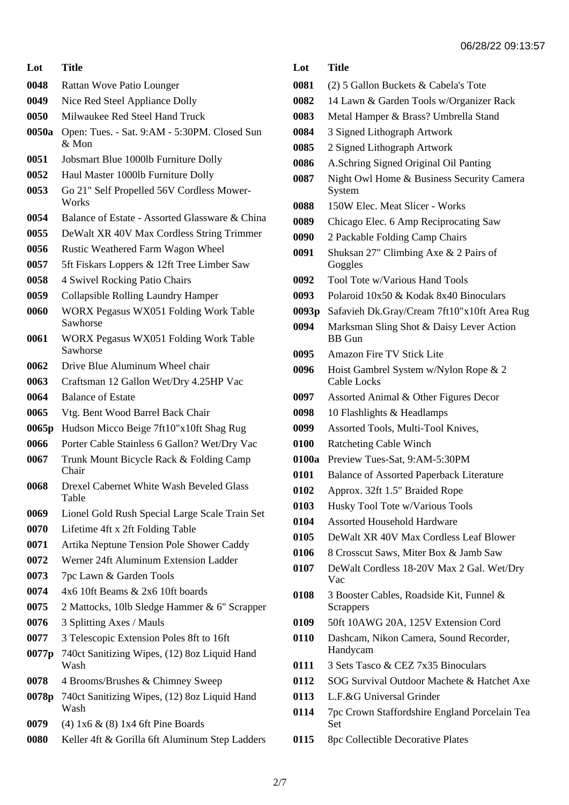| Lot               | Title                                                    |  |
|-------------------|----------------------------------------------------------|--|
| 0048              | Rattan Wove Patio Lounger                                |  |
| 0049              | Nice Red Steel Appliance Dolly                           |  |
| 0050              | Milwaukee Red Steel Hand Truck                           |  |
| 0050a             | Open: Tues. - Sat. 9:AM - 5:30PM. Closed Sun<br>$&$ Mon  |  |
| 0051              | Jobsmart Blue 1000lb Furniture Dolly                     |  |
| 0052              | Haul Master 1000lb Furniture Dolly                       |  |
| 0053              | Go 21" Self Propelled 56V Cordless Mower-<br>Works       |  |
| 0054              | Balance of Estate - Assorted Glassware & China           |  |
| 0055              | DeWalt XR 40V Max Cordless String Trimmer                |  |
| 0056              | Rustic Weathered Farm Wagon Wheel                        |  |
| 0057              | 5ft Fiskars Loppers & 12ft Tree Limber Saw               |  |
| 0058              | 4 Swivel Rocking Patio Chairs                            |  |
| 0059              | <b>Collapsible Rolling Laundry Hamper</b>                |  |
| 0060              | WORX Pegasus WX051 Folding Work Table<br>Sawhorse        |  |
| 0061              | WORX Pegasus WX051 Folding Work Table<br>Sawhorse        |  |
| 0062              | Drive Blue Aluminum Wheel chair                          |  |
| 0063              | Craftsman 12 Gallon Wet/Dry 4.25HP Vac                   |  |
| 0064              | <b>Balance of Estate</b>                                 |  |
| 0065              | Vtg. Bent Wood Barrel Back Chair                         |  |
| 0065 <sub>p</sub> | Hudson Micco Beige 7ft10"x10ft Shag Rug                  |  |
| 0066              | Porter Cable Stainless 6 Gallon? Wet/Dry Vac             |  |
| 0067              | Trunk Mount Bicycle Rack & Folding Camp<br>Chair         |  |
| 0068              | <b>Drexel Cabernet White Wash Beveled Glass</b><br>Table |  |
| 0069              | Lionel Gold Rush Special Large Scale Train Set           |  |
| 0070              | Lifetime 4ft x 2ft Folding Table                         |  |
| 0071              | Artika Neptune Tension Pole Shower Caddy                 |  |
| 0072              | Werner 24ft Aluminum Extension Ladder                    |  |
| 0073              | 7pc Lawn & Garden Tools                                  |  |
| 0074              | 4x6 10ft Beams & 2x6 10ft boards                         |  |
| 0075              | 2 Mattocks, 10lb Sledge Hammer & 6" Scrapper             |  |
| 0076              | 3 Splitting Axes / Mauls                                 |  |
| 0077              | 3 Telescopic Extension Poles 8ft to 16ft                 |  |
| 0077p             | 740ct Sanitizing Wipes, (12) 8oz Liquid Hand<br>Wash     |  |
| 0078              | 4 Brooms/Brushes & Chimney Sweep                         |  |
| 0078p             | 740ct Sanitizing Wipes, (12) 8oz Liquid Hand<br>Wash     |  |
| 0079              | $(4)$ 1x6 & $(8)$ 1x4 6ft Pine Boards                    |  |
| 0080              | Keller 4ft & Gorilla 6ft Aluminum Step Ladders           |  |

| Lot               | <b>Title</b>                                                |  |
|-------------------|-------------------------------------------------------------|--|
| 0081              | (2) 5 Gallon Buckets & Cabela's Tote                        |  |
| 0082              | 14 Lawn & Garden Tools w/Organizer Rack                     |  |
| 0083              | Metal Hamper & Brass? Umbrella Stand                        |  |
| 0084              | 3 Signed Lithograph Artwork                                 |  |
| 0085              | 2 Signed Lithograph Artwork                                 |  |
| 0086              | A.Schring Signed Original Oil Panting                       |  |
| 0087              | Night Owl Home & Business Security Camera<br>System         |  |
| 0088              | 150W Elec. Meat Slicer - Works                              |  |
| 0089              | Chicago Elec. 6 Amp Reciprocating Saw                       |  |
| 0090              | 2 Packable Folding Camp Chairs                              |  |
| 0091              | Shuksan 27" Climbing Axe & 2 Pairs of<br>Goggles            |  |
| 0092              | Tool Tote w/Various Hand Tools                              |  |
| 0093              | Polaroid 10x50 & Kodak 8x40 Binoculars                      |  |
| 0093 <sub>p</sub> | Safavieh Dk.Gray/Cream 7ft10"x10ft Area Rug                 |  |
| 0094              | Marksman Sling Shot & Daisy Lever Action<br><b>BB</b> Gun   |  |
| 0095              | Amazon Fire TV Stick Lite                                   |  |
| 0096              | Hoist Gambrel System w/Nylon Rope & 2<br><b>Cable Locks</b> |  |
| 0097              | Assorted Animal & Other Figures Decor                       |  |
| 0098              | 10 Flashlights & Headlamps                                  |  |
| 0099              | Assorted Tools, Multi-Tool Knives,                          |  |
| 0100              | <b>Ratcheting Cable Winch</b>                               |  |
| 0100a             | Preview Tues-Sat, 9:AM-5:30PM                               |  |
| 0101              | <b>Balance of Assorted Paperback Literature</b>             |  |
| 0102              | Approx. 32ft 1.5" Braided Rope                              |  |
| 0103              | Husky Tool Tote w/Various Tools                             |  |
| 0104              | <b>Assorted Household Hardware</b>                          |  |
| 0105              | DeWalt XR 40V Max Cordless Leaf Blower                      |  |
| 0106              | 8 Crosscut Saws, Miter Box & Jamb Saw                       |  |
| 0107              | DeWalt Cordless 18-20V Max 2 Gal. Wet/Dry<br>Vac            |  |
| 0108              | 3 Booster Cables, Roadside Kit, Funnel &<br>Scrappers       |  |
| 0109              | 50ft 10AWG 20A, 125V Extension Cord                         |  |
| 0110              | Dashcam, Nikon Camera, Sound Recorder,<br>Handycam          |  |
| 0111              | 3 Sets Tasco & CEZ 7x35 Binoculars                          |  |
| 0112              | SOG Survival Outdoor Machete & Hatchet Axe                  |  |
| 0113              | L.F.&G Universal Grinder                                    |  |
| 0114              | 7pc Crown Staffordshire England Porcelain Tea<br>Set        |  |
| 0115              | 8pc Collectible Decorative Plates                           |  |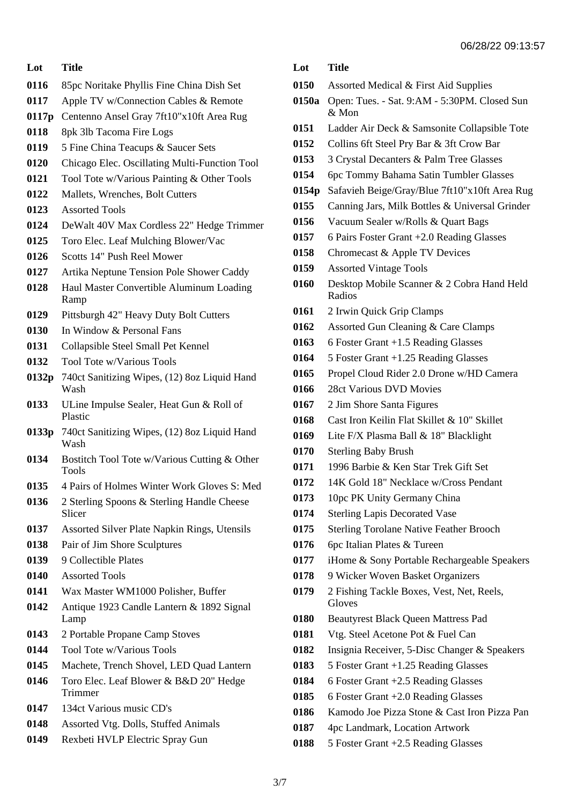### **Lot Title** 85pc Noritake Phyllis Fine China Dish Set Apple TV w/Connection Cables & Remote **0117p** Centenno Ansel Gray 7ft10"x10ft Area Rug 8pk 3lb Tacoma Fire Logs 5 Fine China Teacups & Saucer Sets Chicago Elec. Oscillating Multi-Function Tool Tool Tote w/Various Painting & Other Tools Mallets, Wrenches, Bolt Cutters Assorted Tools DeWalt 40V Max Cordless 22" Hedge Trimmer Toro Elec. Leaf Mulching Blower/Vac Scotts 14" Push Reel Mower Artika Neptune Tension Pole Shower Caddy Haul Master Convertible Aluminum Loading Ramp Pittsburgh 42" Heavy Duty Bolt Cutters In Window & Personal Fans Collapsible Steel Small Pet Kennel Tool Tote w/Various Tools **0132p** 740ct Sanitizing Wipes, (12) 8oz Liquid Hand Wash ULine Impulse Sealer, Heat Gun & Roll of Plastic **0133p** 740ct Sanitizing Wipes, (12) 8oz Liquid Hand Wash Bostitch Tool Tote w/Various Cutting & Other Tools 4 Pairs of Holmes Winter Work Gloves S: Med 2 Sterling Spoons & Sterling Handle Cheese Slicer Assorted Silver Plate Napkin Rings, Utensils Pair of Jim Shore Sculptures 9 Collectible Plates Assorted Tools

- Wax Master WM1000 Polisher, Buffer
- Antique 1923 Candle Lantern & 1892 Signal Lamp
- 2 Portable Propane Camp Stoves
- Tool Tote w/Various Tools
- Machete, Trench Shovel, LED Quad Lantern
- Toro Elec. Leaf Blower & B&D 20" Hedge Trimmer
- 134ct Various music CD's
- Assorted Vtg. Dolls, Stuffed Animals
- Rexbeti HVLP Electric Spray Gun
- **Lot Title**
- Assorted Medical & First Aid Supplies
- **0150a** Open: Tues. Sat. 9:AM 5:30PM. Closed Sun & Mon
- Ladder Air Deck & Samsonite Collapsible Tote
- Collins 6ft Steel Pry Bar & 3ft Crow Bar
- 3 Crystal Decanters & Palm Tree Glasses
- 6pc Tommy Bahama Satin Tumbler Glasses
- **0154p** Safavieh Beige/Gray/Blue 7ft10"x10ft Area Rug
- Canning Jars, Milk Bottles & Universal Grinder
- Vacuum Sealer w/Rolls & Quart Bags
- 6 Pairs Foster Grant +2.0 Reading Glasses
- Chromecast & Apple TV Devices
- Assorted Vintage Tools
- Desktop Mobile Scanner & 2 Cobra Hand Held Radios
- 2 Irwin Quick Grip Clamps
- Assorted Gun Cleaning & Care Clamps
- 6 Foster Grant +1.5 Reading Glasses
- 5 Foster Grant +1.25 Reading Glasses
- Propel Cloud Rider 2.0 Drone w/HD Camera
- 28ct Various DVD Movies
- 2 Jim Shore Santa Figures
- Cast Iron Keilin Flat Skillet & 10" Skillet
- Lite F/X Plasma Ball & 18" Blacklight
- Sterling Baby Brush
- 1996 Barbie & Ken Star Trek Gift Set
- 14K Gold 18" Necklace w/Cross Pendant
- 10pc PK Unity Germany China
- Sterling Lapis Decorated Vase
- Sterling Torolane Native Feather Brooch
- 6pc Italian Plates & Tureen
- iHome & Sony Portable Rechargeable Speakers
- 9 Wicker Woven Basket Organizers
- 2 Fishing Tackle Boxes, Vest, Net, Reels, **Gloves**
- Beautyrest Black Queen Mattress Pad
- Vtg. Steel Acetone Pot & Fuel Can
- Insignia Receiver, 5-Disc Changer & Speakers
- 5 Foster Grant +1.25 Reading Glasses
- 6 Foster Grant +2.5 Reading Glasses
- 6 Foster Grant +2.0 Reading Glasses
- Kamodo Joe Pizza Stone & Cast Iron Pizza Pan
- 4pc Landmark, Location Artwork
- 5 Foster Grant +2.5 Reading Glasses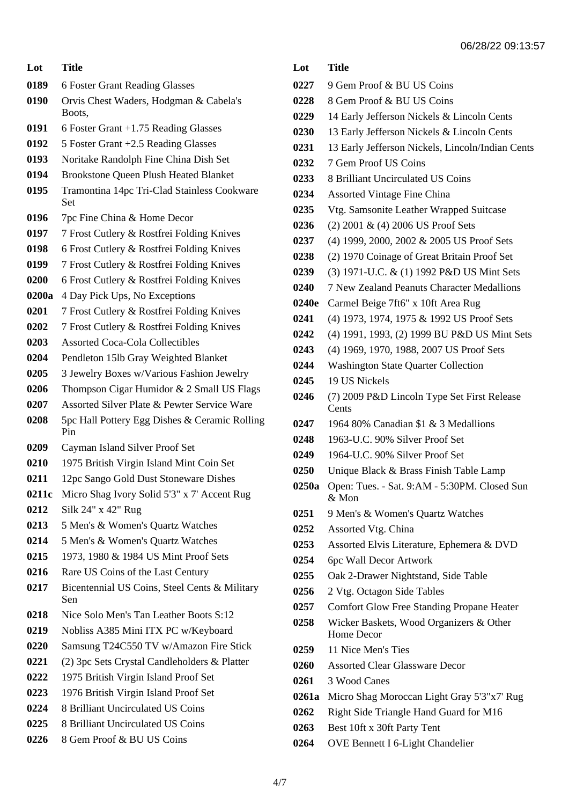| Lot   | <b>Title</b>                                         |
|-------|------------------------------------------------------|
| 0189  | 6 Foster Grant Reading Glasses                       |
| 0190  | Orvis Chest Waders, Hodgman & Cabela's<br>Boots,     |
| 0191  | $6$ Foster Grant $+1.75$ Reading Glasses             |
| 0192  | 5 Foster Grant +2.5 Reading Glasses                  |
| 0193  | Noritake Randolph Fine China Dish Set                |
| 0194  | <b>Brookstone Queen Plush Heated Blanket</b>         |
| 0195  | Tramontina 14pc Tri-Clad Stainless Cookware<br>Set   |
| 0196  | 7pc Fine China & Home Decor                          |
| 0197  | 7 Frost Cutlery & Rostfrei Folding Knives            |
| 0198  | 6 Frost Cutlery & Rostfrei Folding Knives            |
| 0199  | 7 Frost Cutlery & Rostfrei Folding Knives            |
| 0200  | 6 Frost Cutlery & Rostfrei Folding Knives            |
| 0200a | 4 Day Pick Ups, No Exceptions                        |
| 0201  | 7 Frost Cutlery & Rostfrei Folding Knives            |
| 0202  | 7 Frost Cutlery & Rostfrei Folding Knives            |
| 0203  | <b>Assorted Coca-Cola Collectibles</b>               |
| 0204  | Pendleton 15lb Gray Weighted Blanket                 |
| 0205  | 3 Jewelry Boxes w/Various Fashion Jewelry            |
| 0206  | Thompson Cigar Humidor & 2 Small US Flags            |
| 0207  | Assorted Silver Plate & Pewter Service Ware          |
| 0208  | 5pc Hall Pottery Egg Dishes & Ceramic Rolling<br>Pin |
| 0209  | Cayman Island Silver Proof Set                       |
| 0210  | 1975 British Virgin Island Mint Coin Set             |
| 0211  | 12pc Sango Gold Dust Stoneware Dishes                |
| 0211c | Micro Shag Ivory Solid 5'3" x 7' Accent Rug          |
| 0212  | Silk 24" x 42" Rug                                   |
| 0213  | 5 Men's & Women's Quartz Watches                     |
| 0214  | 5 Men's & Women's Quartz Watches                     |
| 0215  | 1973, 1980 & 1984 US Mint Proof Sets                 |
| 0216  | Rare US Coins of the Last Century                    |
| 0217  | Bicentennial US Coins, Steel Cents & Military<br>Sen |
| 0218  | Nice Solo Men's Tan Leather Boots S:12               |
| 0219  | Nobliss A385 Mini ITX PC w/Keyboard                  |
| 0220  | Samsung T24C550 TV w/Amazon Fire Stick               |
| 0221  | (2) 3pc Sets Crystal Candleholders & Platter         |
| 0222  | 1975 British Virgin Island Proof Set                 |
| 0223  | 1976 British Virgin Island Proof Set                 |
| 0224  | 8 Brilliant Uncirculated US Coins                    |
| 0225  | 8 Brilliant Uncirculated US Coins                    |
| 0226  | 8 Gem Proof & BU US Coins                            |

| Lot Title |                                |
|-----------|--------------------------------|
|           | 0227 9 Gem Proof & BU US Coins |
|           | 0228 8 Gem Proof & BU US Coins |

- 14 Early Jefferson Nickels & Lincoln Cents
- 13 Early Jefferson Nickels & Lincoln Cents
- 13 Early Jefferson Nickels, Lincoln/Indian Cents
- 7 Gem Proof US Coins
- 8 Brilliant Uncirculated US Coins
- Assorted Vintage Fine China
- Vtg. Samsonite Leather Wrapped Suitcase
- (2) 2001 & (4) 2006 US Proof Sets
- (4) 1999, 2000, 2002 & 2005 US Proof Sets
- (2) 1970 Coinage of Great Britain Proof Set
- (3) 1971-U.C. & (1) 1992 P&D US Mint Sets
- 7 New Zealand Peanuts Character Medallions
- **0240e** Carmel Beige 7ft6" x 10ft Area Rug
- (4) 1973, 1974, 1975 & 1992 US Proof Sets
- (4) 1991, 1993, (2) 1999 BU P&D US Mint Sets
- (4) 1969, 1970, 1988, 2007 US Proof Sets
- Washington State Quarter Collection
- 19 US Nickels
- (7) 2009 P&D Lincoln Type Set First Release **Cents**
- 1964 80% Canadian \$1 & 3 Medallions
- 1963-U.C. 90% Silver Proof Set
- 1964-U.C. 90% Silver Proof Set
- Unique Black & Brass Finish Table Lamp
- **0250a** Open: Tues. Sat. 9:AM 5:30PM. Closed Sun & Mon
- 9 Men's & Women's Quartz Watches
- Assorted Vtg. China
- Assorted Elvis Literature, Ephemera & DVD
- 6pc Wall Decor Artwork
- Oak 2-Drawer Nightstand, Side Table
- 2 Vtg. Octagon Side Tables
- Comfort Glow Free Standing Propane Heater
- Wicker Baskets, Wood Organizers & Other Home Decor
- 11 Nice Men's Ties
- Assorted Clear Glassware Decor
- 3 Wood Canes
- **0261a** Micro Shag Moroccan Light Gray 5'3"x7' Rug
- Right Side Triangle Hand Guard for M16
- Best 10ft x 30ft Party Tent
- OVE Bennett I 6-Light Chandelier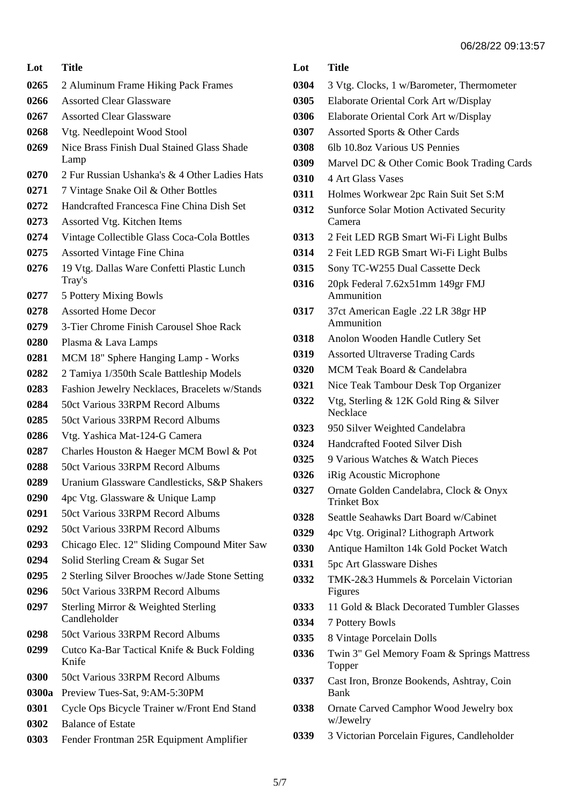| Lot   | <b>Title</b>                                         |  |
|-------|------------------------------------------------------|--|
| 0265  | 2 Aluminum Frame Hiking Pack Frames                  |  |
| 0266  | <b>Assorted Clear Glassware</b>                      |  |
| 0267  | <b>Assorted Clear Glassware</b>                      |  |
| 0268  | Vtg. Needlepoint Wood Stool                          |  |
| 0269  | Nice Brass Finish Dual Stained Glass Shade<br>Lamp   |  |
| 0270  | 2 Fur Russian Ushanka's & 4 Other Ladies Hats        |  |
| 0271  | 7 Vintage Snake Oil & Other Bottles                  |  |
| 0272  | Handcrafted Francesca Fine China Dish Set            |  |
| 0273  | Assorted Vtg. Kitchen Items                          |  |
| 0274  | Vintage Collectible Glass Coca-Cola Bottles          |  |
| 0275  | <b>Assorted Vintage Fine China</b>                   |  |
| 0276  | 19 Vtg. Dallas Ware Confetti Plastic Lunch<br>Tray's |  |
| 0277  | 5 Pottery Mixing Bowls                               |  |
| 0278  | <b>Assorted Home Decor</b>                           |  |
| 0279  | 3-Tier Chrome Finish Carousel Shoe Rack              |  |
| 0280  | Plasma & Lava Lamps                                  |  |
| 0281  | MCM 18" Sphere Hanging Lamp - Works                  |  |
| 0282  | 2 Tamiya 1/350th Scale Battleship Models             |  |
| 0283  | Fashion Jewelry Necklaces, Bracelets w/Stands        |  |
| 0284  | 50ct Various 33RPM Record Albums                     |  |
| 0285  | 50ct Various 33RPM Record Albums                     |  |
| 0286  | Vtg. Yashica Mat-124-G Camera                        |  |
| 0287  | Charles Houston & Haeger MCM Bowl & Pot              |  |
| 0288  | 50ct Various 33RPM Record Albums                     |  |
| 0289  | Uranium Glassware Candlesticks, S&P Shakers          |  |
| 0290  | 4pc Vtg. Glassware & Unique Lamp                     |  |
| 0291  | 50ct Various 33RPM Record Albums                     |  |
| 0292  | 50ct Various 33RPM Record Albums                     |  |
| 0293  | Chicago Elec. 12" Sliding Compound Miter Saw         |  |
| 0294  | Solid Sterling Cream & Sugar Set                     |  |
| 0295  | 2 Sterling Silver Brooches w/Jade Stone Setting      |  |
| 0296  | 50ct Various 33RPM Record Albums                     |  |
| 0297  | Sterling Mirror & Weighted Sterling<br>Candleholder  |  |
| 0298  | 50ct Various 33RPM Record Albums                     |  |
| 0299  | Cutco Ka-Bar Tactical Knife & Buck Folding<br>Knife  |  |
| 0300  | 50ct Various 33RPM Record Albums                     |  |
| 0300a | Preview Tues-Sat, 9:AM-5:30PM                        |  |
| 0301  | Cycle Ops Bicycle Trainer w/Front End Stand          |  |
| 0302  | <b>Balance of Estate</b>                             |  |
| 0303  | Fender Frontman 25R Equipment Amplifier              |  |

| Lot | <b>Title</b> |
|-----|--------------|
|     |              |

- 3 Vtg. Clocks, 1 w/Barometer, Thermometer
- Elaborate Oriental Cork Art w/Display
- Elaborate Oriental Cork Art w/Display
- Assorted Sports & Other Cards
- 6lb 10.8oz Various US Pennies
- Marvel DC & Other Comic Book Trading Cards
- 4 Art Glass Vases
- Holmes Workwear 2pc Rain Suit Set S:M
- Sunforce Solar Motion Activated Security Camera
- 2 Feit LED RGB Smart Wi-Fi Light Bulbs
- 2 Feit LED RGB Smart Wi-Fi Light Bulbs
- Sony TC-W255 Dual Cassette Deck
- 20pk Federal 7.62x51mm 149gr FMJ Ammunition
- 37ct American Eagle .22 LR 38gr HP Ammunition
- Anolon Wooden Handle Cutlery Set
- Assorted Ultraverse Trading Cards
- MCM Teak Board & Candelabra
- Nice Teak Tambour Desk Top Organizer
- Vtg, Sterling & 12K Gold Ring & Silver **Necklace**
- 950 Silver Weighted Candelabra
- Handcrafted Footed Silver Dish
- 9 Various Watches & Watch Pieces
- iRig Acoustic Microphone
- Ornate Golden Candelabra, Clock & Onyx Trinket Box
- Seattle Seahawks Dart Board w/Cabinet
- 4pc Vtg. Original? Lithograph Artwork
- Antique Hamilton 14k Gold Pocket Watch
- 5pc Art Glassware Dishes
- TMK-2&3 Hummels & Porcelain Victorian Figures
- 11 Gold & Black Decorated Tumbler Glasses
- 7 Pottery Bowls
- 8 Vintage Porcelain Dolls
- Twin 3" Gel Memory Foam & Springs Mattress Topper
- Cast Iron, Bronze Bookends, Ashtray, Coin Bank
- Ornate Carved Camphor Wood Jewelry box w/Jewelry
- 3 Victorian Porcelain Figures, Candleholder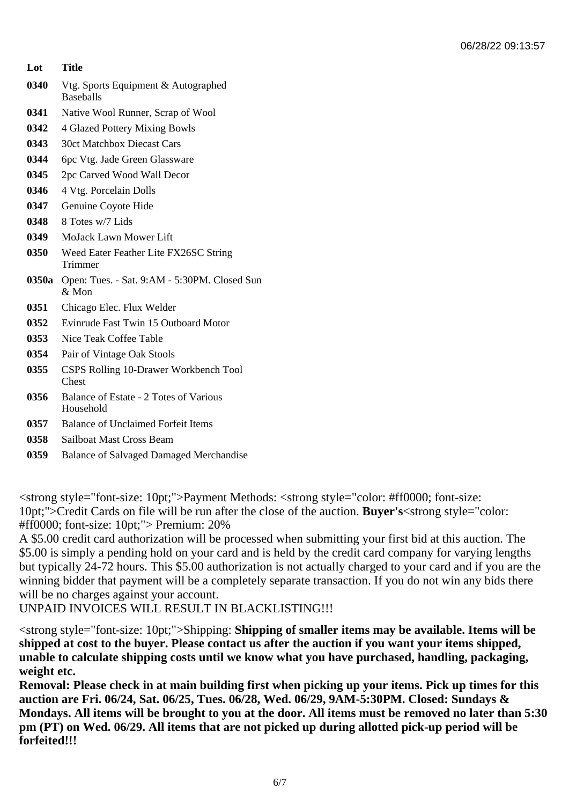#### **Lot Title**

- **0340** Vtg. Sports Equipment & Autographed Baseballs
- **0341** Native Wool Runner, Scrap of Wool
- **0342** 4 Glazed Pottery Mixing Bowls
- **0343** 30ct Matchbox Diecast Cars
- **0344** 6pc Vtg. Jade Green Glassware
- **0345** 2pc Carved Wood Wall Decor
- **0346** 4 Vtg. Porcelain Dolls
- **0347** Genuine Coyote Hide
- **0348** 8 Totes w/7 Lids
- **0349** MoJack Lawn Mower Lift
- **0350** Weed Eater Feather Lite FX26SC String Trimmer
- **0350a** Open: Tues. Sat. 9:AM 5:30PM. Closed Sun & Mon
- **0351** Chicago Elec. Flux Welder
- **0352** Evinrude Fast Twin 15 Outboard Motor
- **0353** Nice Teak Coffee Table
- **0354** Pair of Vintage Oak Stools
- **0355** CSPS Rolling 10-Drawer Workbench Tool Chest
- **0356** Balance of Estate 2 Totes of Various Household
- **0357** Balance of Unclaimed Forfeit Items
- **0358** Sailboat Mast Cross Beam
- **0359** Balance of Salvaged Damaged Merchandise

<strong style="font-size: 10pt;">Payment Methods: <strong style="color: #ff0000; font-size: 10pt;">Credit Cards on file will be run after the close of the auction. **Buyer's**<strong style="color: #ff0000; font-size: 10pt;"> Premium: 20%

A \$5.00 credit card authorization will be processed when submitting your first bid at this auction. The \$5.00 is simply a pending hold on your card and is held by the credit card company for varying lengths but typically 24-72 hours. This \$5.00 authorization is not actually charged to your card and if you are the winning bidder that payment will be a completely separate transaction. If you do not win any bids there will be no charges against your account.

UNPAID INVOICES WILL RESULT IN BLACKLISTING!!!

<strong style="font-size: 10pt;">Shipping: **Shipping of smaller items may be available. Items will be shipped at cost to the buyer. Please contact us after the auction if you want your items shipped, unable to calculate shipping costs until we know what you have purchased, handling, packaging, weight etc.** 

**Removal: Please check in at main building first when picking up your items. Pick up times for this auction are Fri. 06/24, Sat. 06/25, Tues. 06/28, Wed. 06/29, 9AM-5:30PM. Closed: Sundays & Mondays. All items will be brought to you at the door. All items must be removed no later than 5:30 pm (PT) on Wed. 06/29. All items that are not picked up during allotted pick-up period will be forfeited!!!**